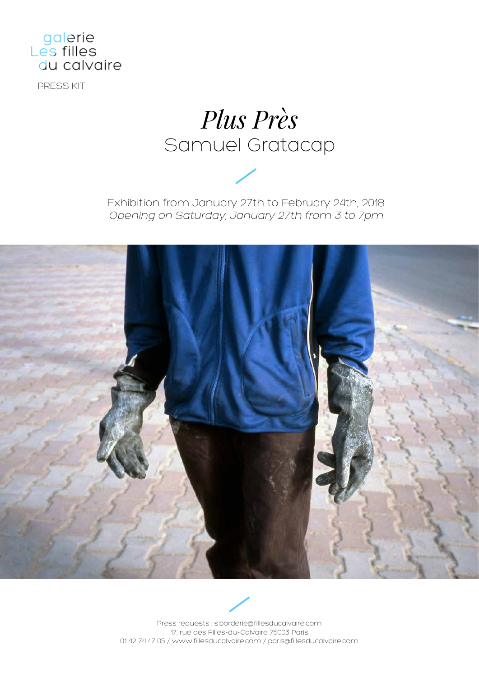

PRESS KIT

# *Plus Près* Samuel Gratacap

Exhibition from January 27th to February 24th, 2018 Opening on Saturday, January 27th from 3 to 7pm





Press requests : s.borderie@fillesducalvaire.com 17, rue des Filles-du-Calvaire 75003 Paris 01 42 74 47 05 / www.fillesducalvaire.com / paris@fillesducalvaire.com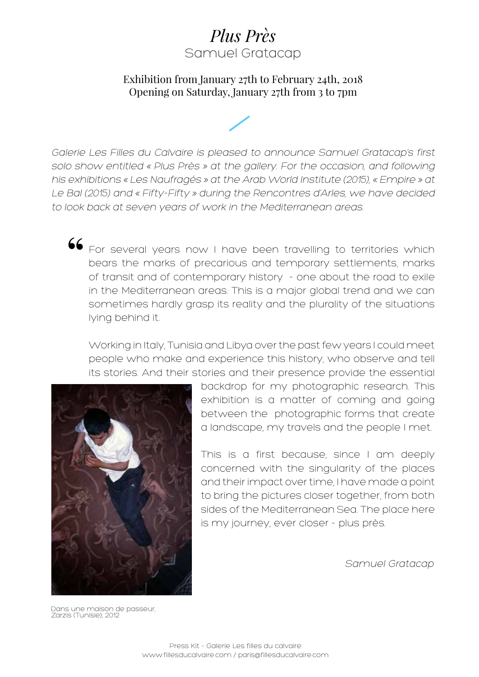## *Plus Près* Samuel Gratacap

#### Exhibition from January 27th to February 24th, 2018 Opening on Saturday, January 27th from 3 to 7pm



Galerie Les Filles du Calvaire is pleased to announce Samuel Gratacap's first solo show entitled « Plus Près » at the gallery. For the occasion, and following his exhibitions « Les Naufragés » at the Arab World Institute (2015), « Empire » at Le Bal (2015) and « Fifty-Fifty » during the Rencontres d'Arles, we have decided to look back at seven years of work in the Mediterranean areas.

 $\mathsf{66}\hspace{1mm}$  For several years now I have been travelling to territories which bears the marks of precarious and temporary settlements, marks of transit and of contemporary history - one about the road to exile in the Mediterranean areas. This is a major global trend and we can sometimes hardly grasp its reality and the plurality of the situations lying behind it.

Working in Italy, Tunisia and Libya over the past few years I could meet people who make and experience this history, who observe and tell its stories. And their stories and their presence provide the essential



backdrop for my photographic research. This exhibition is a matter of coming and going between the photographic forms that create a landscape, my travels and the people I met.

This is a first because, since I am deeply concerned with the singularity of the places and their impact over time, I have made a point to bring the pictures closer together, from both sides of the Mediterranean Sea. The place here is my journey, ever closer - plus près.

Samuel Gratacap

Dans une maison de passeur, Zarzis (Tunisie), 2012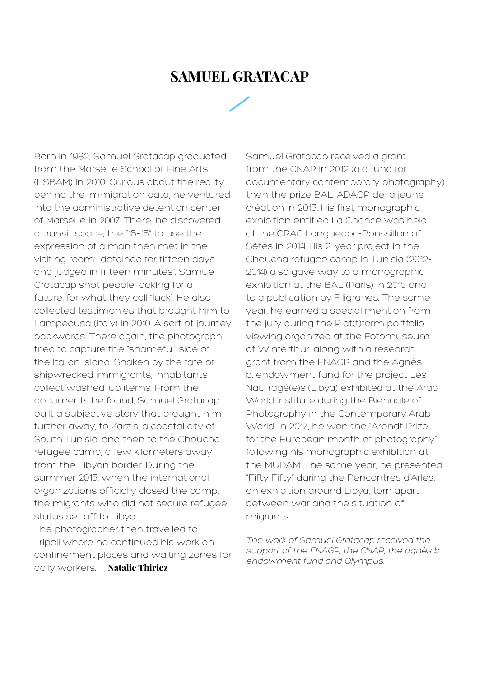### **SAMUEL GRATACAP**

Born in 1982, Samuel Gratacap graduated from the Marseille School of Fine Arts (ESBAM) in 2010. Curious about the reality behind the immigration data, he ventured into the administrative detention center of Marseille in 2007. There, he discovered a transit space, the "15-15" to use the expression of a man then met in the visiting room: "detained for fifteen days and judged in fifteen minutes". Samuel Gratacap shot people looking for a future, for what they call "luck". He also collected testimonies that brought him to Lampedusa (Italy) in 2010. A sort of journey backwards. There again, the photograph tried to capture the "shameful" side of the Italian island. Shaken by the fate of shipwrecked immigrants, inhabitants collect washed-up items. From the documents he found, Samuel Gratacap built a subjective story that brought him further away, to Zarzis, a coastal city of South Tunisia, and then to the Choucha refugee camp, a few kilometers away from the Libyan border. During the summer 2013, when the international organizations officially closed the camp, the migrants who did not secure refugee status set off to Libya. The photographer then travelled to Tripoli where he continued his work on confinement places and waiting zones for daily workers. - **Natalie Thiriez**

Samuel Gratacap received a grant from the CNAP in 2012 (aid fund for documentary contemporary photography) then the prize BAL-ADAGP de la jeune création in 2013. His first monographic exhibition entitled La Chance was held at the CRAC Languedoc-Roussillon of Sètes in 2014. His 2-year project in the Choucha refugee camp in Tunisia (2012- 2014) also gave way to a monographic exhibition at the BAL (Paris) in 2015 and to a publication by Filigranes. The same year, he earned a special mention from the jury during the Plat(t)form portfolio viewing organized at the Fotomuseum of Winterthur, along with a research grant from the FNAGP and the Agnès b. endowment fund for the project Les Naufragé(e)s (Libya) exhibited at the Arab World Institute during the Biennale of Photography in the Contemporary Arab World. In 2017, he won the "Arendt Prize for the European month of photography" following his monographic exhibition at the MUDAM. The same year, he presented "Fifty Fifty" during the Rencontres d'Arles, an exhibition around Libya, torn apart between war and the situation of migrants.

The work of Samuel Gratacap received the support of the FNAGP, the CNAP, the agnès b. endowment fund and Olympus.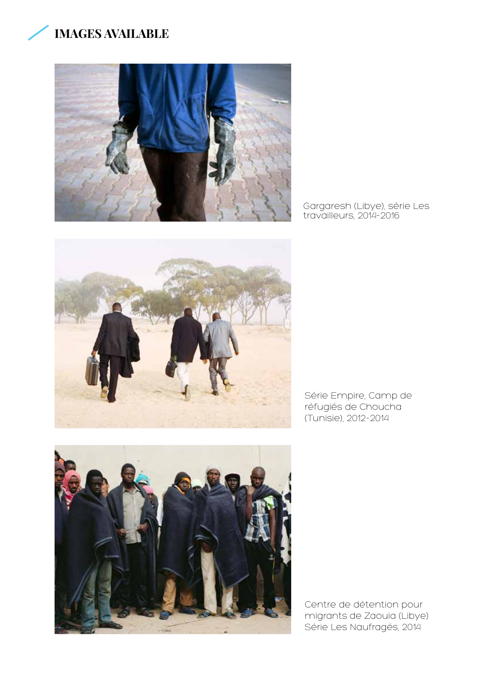



Gargaresh (Libye), série Les travailleurs, 2014-2016



Série Empire, Camp de réfugiés de Choucha (Tunisie), 2012-2014



Centre de détention pour migrants de Zaouia (Libye) Série Les Naufragés, 2014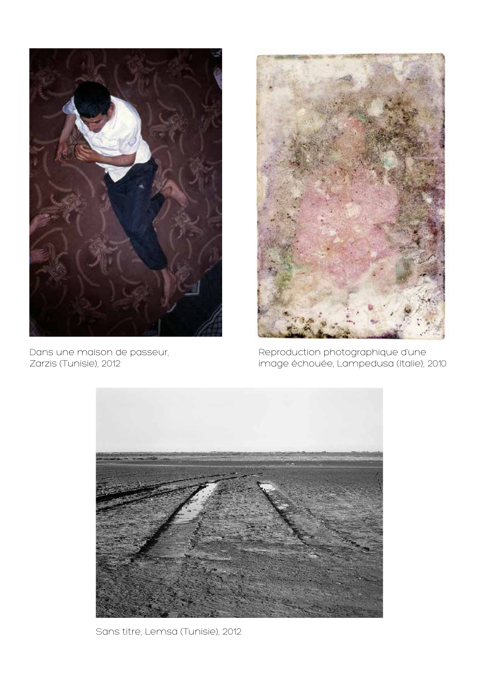

Dans une maison de passeur, Zarzis (Tunisie), 2012



Reproduction photographique d'une image échouée, Lampedusa (Italie), 2010



Sans titre, Lemsa (Tunisie), 2012